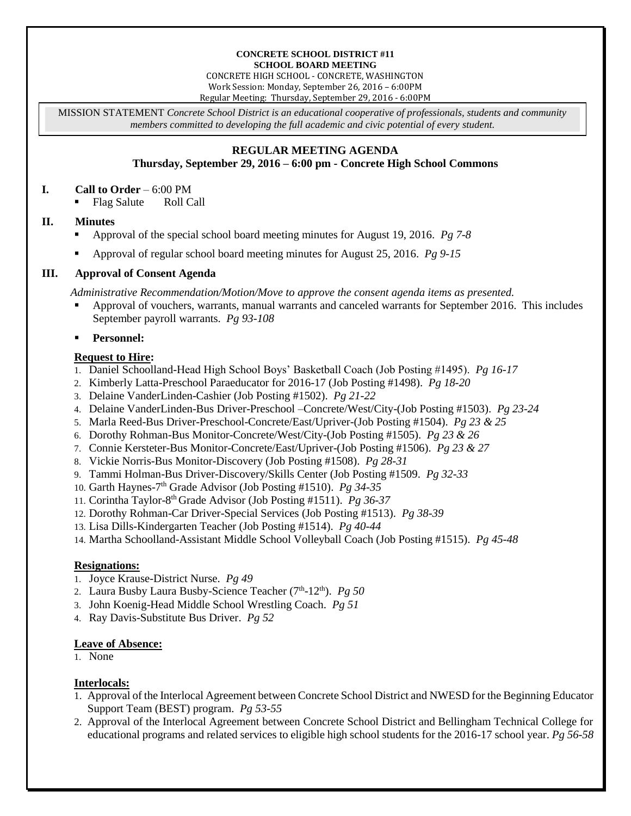#### **CONCRETE SCHOOL DISTRICT #11 SCHOOL BOARD MEETING**

CONCRETE HIGH SCHOOL - CONCRETE, WASHINGTON Work Session: Monday, September 26, 2016 – 6:00PM Regular Meeting: Thursday, September 29, 2016 - 6:00PM

MISSION STATEMENT *Concrete School District is an educational cooperative of professionals, students and community members committed to developing the full academic and civic potential of every student.*

# **REGULAR MEETING AGENDA**

## **Thursday, September 29, 2016 – 6:00 pm - Concrete High School Commons**

### **I. Call to Order** – 6:00 PM

• Flag Salute Roll Call

## **II. Minutes**

- Approval of the special school board meeting minutes for August 19, 2016. *Pg 7-8*
- Approval of regular school board meeting minutes for August 25, 2016. *Pg 9-15*

# **III. Approval of Consent Agenda**

*Administrative Recommendation/Motion/Move to approve the consent agenda items as presented.*

 Approval of vouchers, warrants, manual warrants and canceled warrants for September 2016. This includes September payroll warrants. *Pg 93-108*

## **Personnel:**

## **Request to Hire:**

- 1. Daniel Schoolland-Head High School Boys' Basketball Coach (Job Posting #1495). *Pg 16-17*
- 2. Kimberly Latta-Preschool Paraeducator for 2016-17 (Job Posting #1498). *Pg 18-20*
- 3. Delaine VanderLinden-Cashier (Job Posting #1502). *Pg 21-22*
- 4. Delaine VanderLinden-Bus Driver-Preschool –Concrete/West/City-(Job Posting #1503). *Pg 23-24*
- 5. Marla Reed-Bus Driver-Preschool-Concrete/East/Upriver-(Job Posting #1504). *Pg 23 & 25*
- 6. Dorothy Rohman-Bus Monitor-Concrete/West/City-(Job Posting #1505). *Pg 23 & 26*
- 7. Connie Kersteter-Bus Monitor-Concrete/East/Upriver-(Job Posting #1506). *Pg 23 & 27*
- 8. Vickie Norris-Bus Monitor-Discovery (Job Posting #1508). *Pg 28-31*
- 9. Tammi Holman-Bus Driver-Discovery/Skills Center (Job Posting #1509. *Pg 32-33*
- 10. Garth Haynes-7 th Grade Advisor (Job Posting #1510). *Pg 34-35*
- 11. Corintha Taylor-8 th Grade Advisor (Job Posting #1511). *Pg 36-37*
- 12. Dorothy Rohman-Car Driver-Special Services (Job Posting #1513). *Pg 38-39*
- 13. Lisa Dills-Kindergarten Teacher (Job Posting #1514). *Pg 40-44*
- 14. Martha Schoolland-Assistant Middle School Volleyball Coach (Job Posting #1515). *Pg 45-48*

### **Resignations:**

- 1. Joyce Krause-District Nurse. *Pg 49*
- 2. Laura Busby Laura Busby-Science Teacher (7<sup>th</sup>-12<sup>th</sup>). *Pg 50*
- 3. John Koenig-Head Middle School Wrestling Coach. *Pg 51*
- 4. Ray Davis-Substitute Bus Driver. *Pg 52*

### **Leave of Absence:**

1. None

## **Interlocals:**

- 1. Approval of the Interlocal Agreement between Concrete School District and NWESD for the Beginning Educator Support Team (BEST) program. *Pg 53-55*
- 2. Approval of the Interlocal Agreement between Concrete School District and Bellingham Technical College for educational programs and related services to eligible high school students for the 2016-17 school year. *Pg 56-58*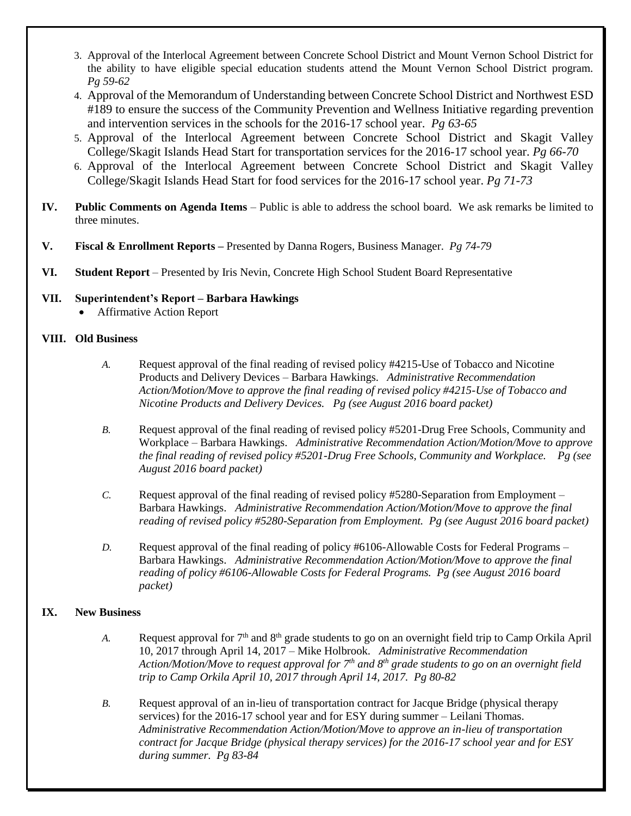- 3. Approval of the Interlocal Agreement between Concrete School District and Mount Vernon School District for the ability to have eligible special education students attend the Mount Vernon School District program. *Pg 59-62*
- 4. Approval of the Memorandum of Understanding between Concrete School District and Northwest ESD #189 to ensure the success of the Community Prevention and Wellness Initiative regarding prevention and intervention services in the schools for the 2016-17 school year. *Pg 63-65*
- 5. Approval of the Interlocal Agreement between Concrete School District and Skagit Valley College/Skagit Islands Head Start for transportation services for the 2016-17 school year. *Pg 66-70*
- 6. Approval of the Interlocal Agreement between Concrete School District and Skagit Valley College/Skagit Islands Head Start for food services for the 2016-17 school year. *Pg 71-73*
- **IV. Public Comments on Agenda Items** Public is able to address the school board. We ask remarks be limited to three minutes.
- **V. Fiscal & Enrollment Reports –** Presented by Danna Rogers, Business Manager. *Pg 74-79*
- **VI. Student Report** Presented by Iris Nevin, Concrete High School Student Board Representative

## **VII. Superintendent's Report – Barbara Hawkings**

Affirmative Action Report

### **VIII. Old Business**

- *A.* Request approval of the final reading of revised policy #4215-Use of Tobacco and Nicotine Products and Delivery Devices – Barbara Hawkings. *Administrative Recommendation Action/Motion/Move to approve the final reading of revised policy #4215-Use of Tobacco and Nicotine Products and Delivery Devices. Pg (see August 2016 board packet)*
- *B.* Request approval of the final reading of revised policy #5201-Drug Free Schools, Community and Workplace – Barbara Hawkings. *Administrative Recommendation Action/Motion/Move to approve the final reading of revised policy #5201-Drug Free Schools, Community and Workplace. Pg (see August 2016 board packet)*
- *C.* Request approval of the final reading of revised policy #5280-Separation from Employment Barbara Hawkings. *Administrative Recommendation Action/Motion/Move to approve the final reading of revised policy #5280-Separation from Employment. Pg (see August 2016 board packet)*
- *D.* Request approval of the final reading of policy #6106-Allowable Costs for Federal Programs Barbara Hawkings. *Administrative Recommendation Action/Motion/Move to approve the final reading of policy #6106-Allowable Costs for Federal Programs. Pg (see August 2016 board packet)*

# **IX. New Business**

- *A.* Request approval for  $7<sup>th</sup>$  and  $8<sup>th</sup>$  grade students to go on an overnight field trip to Camp Orkila April 10, 2017 through April 14, 2017 – Mike Holbrook. *Administrative Recommendation Action/Motion/Move to request approval for 7 th and 8th grade students to go on an overnight field trip to Camp Orkila April 10, 2017 through April 14, 2017. Pg 80-82*
- *B.* Request approval of an in-lieu of transportation contract for Jacque Bridge (physical therapy services) for the 2016-17 school year and for ESY during summer – Leilani Thomas. *Administrative Recommendation Action/Motion/Move to approve an in-lieu of transportation contract for Jacque Bridge (physical therapy services) for the 2016-17 school year and for ESY during summer. Pg 83-84*